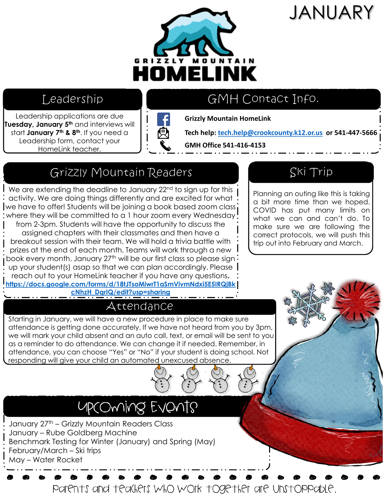# JANUARY



### Leadership

Leadership applications are due **Tuesday, January 5th** and interviews will start **January 7th & 8th**. If you need a Leadership form, contact your HomeLink teacher.



# GMH Contact Info.

**Grizzly Mountain HomeLink**

**Tech help: [tech.help@crookcounty.k12.or.us](mailto:tech.help@crookcounty.k12.or.us) or 541-447-5666**

**GMH Office 541-416-4153**

# Grizzly Mountain Readers

We are extending the deadline to January 22<sup>nd</sup> to sign up for this activity. We are doing things differently and are excited for what we have to offer! Students will be joining a book based zoom class where they will be committed to a 1 hour zoom every Wednesday

from 2-3pm. Students will have the opportunity to discuss the assigned chapters with their classmates and then have a breakout session with their team. We will hold a trivia battle with prizes at the end of each month. Teams will work through a new book every month. January 27<sup>th</sup> will be our first class so please sign <sup>:</sup> up your student(s) asap so that we can plan accordingly. Please reach out to your HomeLink teacher if you have any questions**. [https://docs.google.com/forms/d/18tJTsoMiwrT1aSmVivmNdxi5E5IRQjBk](https://docs.google.com/forms/d/18tJTsoMiwrT1aSmVivmNdxi5E5IRQjBkcNhzH_DqrIQ/edit?usp=sharing) cNhzH\_DqrIQ/edit?usp=sharing**

### Attendance

Starting in January, we will have a new procedure in place to make sure attendance is getting done accurately. If we have not heard from you by 3pm, we will mark your child absent and an auto call, text, or email will be sent to you as a reminder to do attendance. We can change it if needed. Remember, in attendance, you can choose "Yes" or "No" if your student is doing school. Not responding will give your child an automated unexcused absence.

# UPCOMING EVONTS

January 27<sup>th</sup> – Grizzly Mountain Readers Class January – Rube Goldberg Machine Benchmark Testing for Winter (January) and Spring (May) February/March – Ski trips May – Water Rocket

## Parents and teachers who work together are unstoppable.

Ski Trip

Planning an outing like this is taking a bit more time than we hoped. COVID has put many limits on what we can and can't do. To make sure we are following the correct protocols, we will push this trip out into February and March.